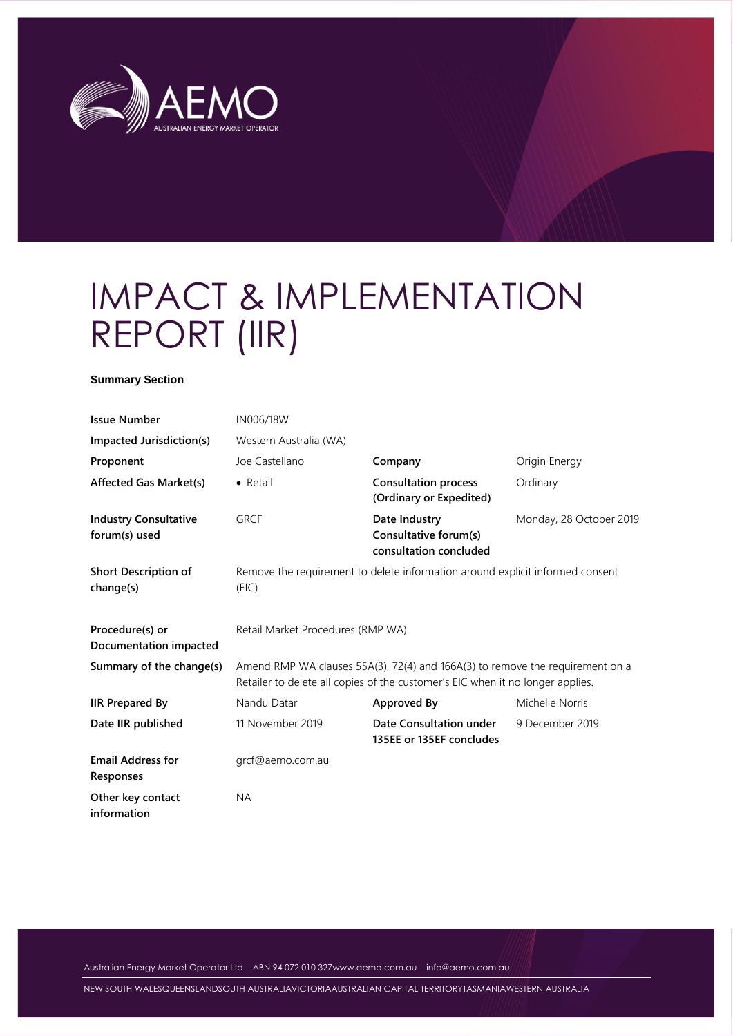

# IMPACT & IMPLEMENTATION REPORT (IIR)

#### **Summary Section**

| <b>Issue Number</b>                           | IN006/18W                                                                                                                                                       |                                                                  |                         |  |  |
|-----------------------------------------------|-----------------------------------------------------------------------------------------------------------------------------------------------------------------|------------------------------------------------------------------|-------------------------|--|--|
| Impacted Jurisdiction(s)                      | Western Australia (WA)                                                                                                                                          |                                                                  |                         |  |  |
| Proponent                                     | Joe Castellano                                                                                                                                                  | Company                                                          | Origin Energy           |  |  |
| <b>Affected Gas Market(s)</b>                 | • Retail                                                                                                                                                        | <b>Consultation process</b><br>(Ordinary or Expedited)           | Ordinary                |  |  |
| <b>Industry Consultative</b><br>forum(s) used | <b>GRCF</b>                                                                                                                                                     | Date Industry<br>Consultative forum(s)<br>consultation concluded | Monday, 28 October 2019 |  |  |
| <b>Short Description of</b><br>change(s)      | Remove the requirement to delete information around explicit informed consent<br>(EIC)                                                                          |                                                                  |                         |  |  |
| Procedure(s) or<br>Documentation impacted     | Retail Market Procedures (RMP WA)                                                                                                                               |                                                                  |                         |  |  |
| Summary of the change(s)                      | Amend RMP WA clauses 55A(3), 72(4) and 166A(3) to remove the requirement on a<br>Retailer to delete all copies of the customer's EIC when it no longer applies. |                                                                  |                         |  |  |
| <b>IIR Prepared By</b>                        | Nandu Datar                                                                                                                                                     | <b>Approved By</b>                                               | Michelle Norris         |  |  |
| Date IIR published                            | 11 November 2019                                                                                                                                                | Date Consultation under<br>135EE or 135EF concludes              | 9 December 2019         |  |  |
| <b>Email Address for</b><br>Responses         | grcf@aemo.com.au                                                                                                                                                |                                                                  |                         |  |  |
| Other key contact<br>information              | <b>NA</b>                                                                                                                                                       |                                                                  |                         |  |  |

Australian Energy Market Operator Ltd ABN 94 072 010 32[7www.aemo.com.au](http://www.aemo.com.au/) [info@aemo.com.au](mailto:info@aemo.com.au)

NEW SOUTH WALESQUEENSLANDSOUTH AUSTRALIAVICTORIAAUSTRALIAN CAPITAL TERRITORYTASMANIAWESTERN AUSTRALIA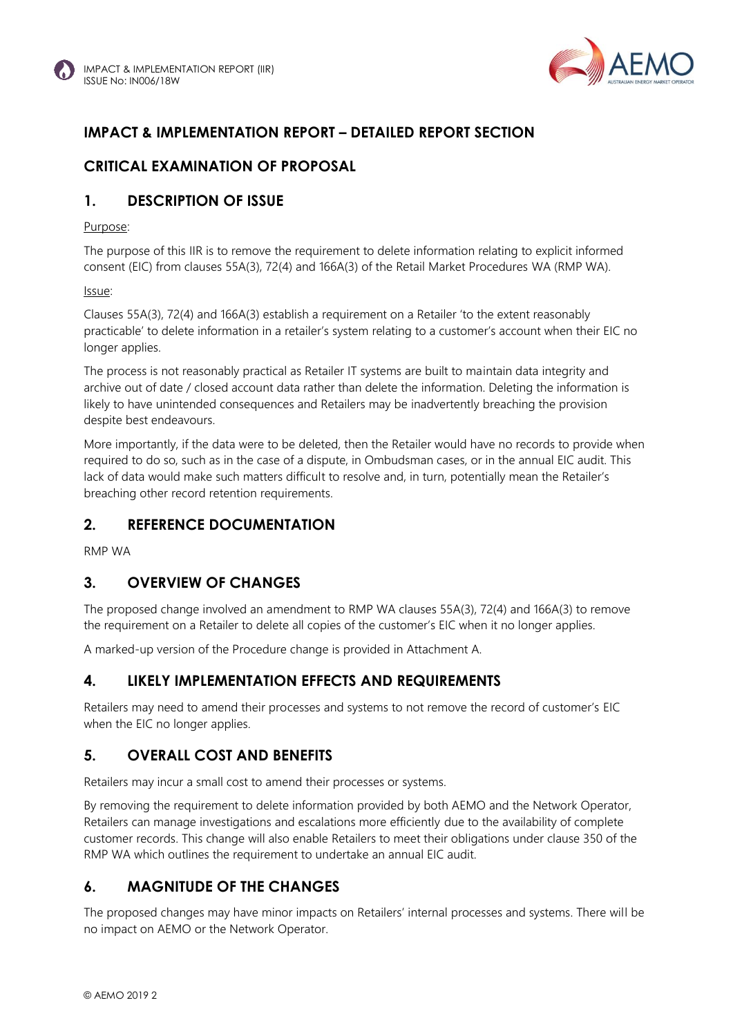

## **IMPACT & IMPLEMENTATION REPORT – DETAILED REPORT SECTION**

## **CRITICAL EXAMINATION OF PROPOSAL**

#### **1. DESCRIPTION OF ISSUE**

#### Purpose:

The purpose of this IIR is to remove the requirement to delete information relating to explicit informed consent (EIC) from clauses 55A(3), 72(4) and 166A(3) of the Retail Market Procedures WA (RMP WA).

#### Issue:

Clauses 55A(3), 72(4) and 166A(3) establish a requirement on a Retailer 'to the extent reasonably practicable' to delete information in a retailer's system relating to a customer's account when their EIC no longer applies.

The process is not reasonably practical as Retailer IT systems are built to maintain data integrity and archive out of date / closed account data rather than delete the information. Deleting the information is likely to have unintended consequences and Retailers may be inadvertently breaching the provision despite best endeavours.

More importantly, if the data were to be deleted, then the Retailer would have no records to provide when required to do so, such as in the case of a dispute, in Ombudsman cases, or in the annual EIC audit. This lack of data would make such matters difficult to resolve and, in turn, potentially mean the Retailer's breaching other record retention requirements.

#### **2. REFERENCE DOCUMENTATION**

RMP WA

#### **3. OVERVIEW OF CHANGES**

The proposed change involved an amendment to RMP WA clauses 55A(3), 72(4) and 166A(3) to remove the requirement on a Retailer to delete all copies of the customer's EIC when it no longer applies.

A marked-up version of the Procedure change is provided in Attachment A.

#### **4. LIKELY IMPLEMENTATION EFFECTS AND REQUIREMENTS**

Retailers may need to amend their processes and systems to not remove the record of customer's EIC when the EIC no longer applies.

#### **5. OVERALL COST AND BENEFITS**

Retailers may incur a small cost to amend their processes or systems.

By removing the requirement to delete information provided by both AEMO and the Network Operator, Retailers can manage investigations and escalations more efficiently due to the availability of complete customer records. This change will also enable Retailers to meet their obligations under clause 350 of the RMP WA which outlines the requirement to undertake an annual EIC audit.

## **6. MAGNITUDE OF THE CHANGES**

The proposed changes may have minor impacts on Retailers' internal processes and systems. There will be no impact on AEMO or the Network Operator.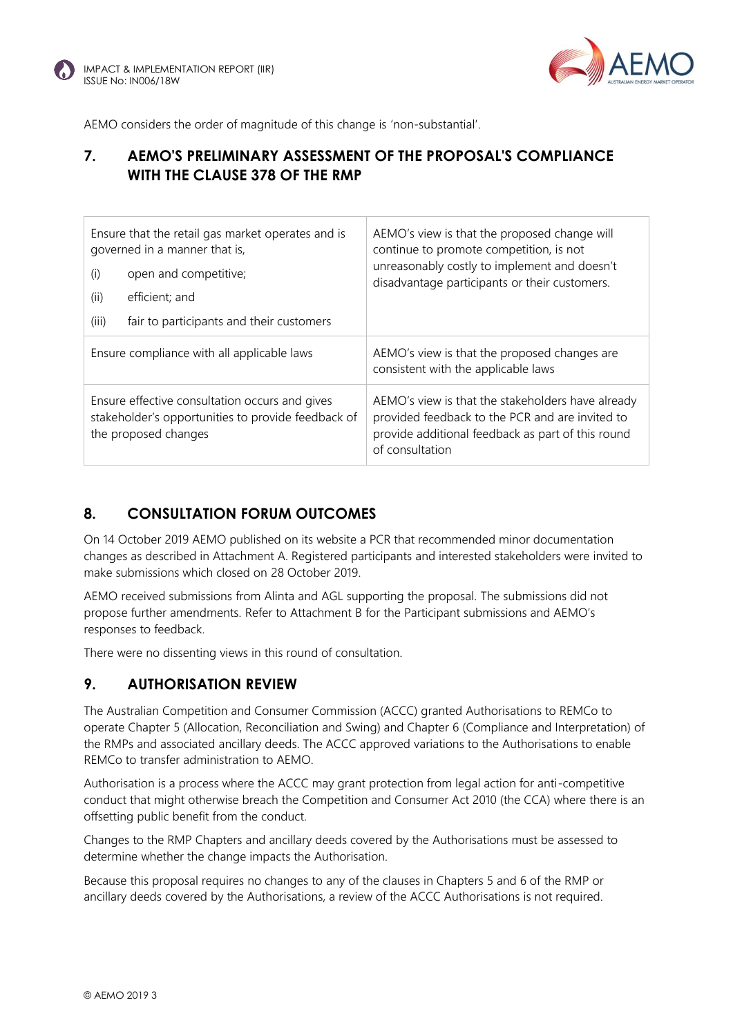

AEMO considers the order of magnitude of this change is 'non-substantial'.

### **7. AEMO'S PRELIMINARY ASSESSMENT OF THE PROPOSAL'S COMPLIANCE WITH THE CLAUSE 378 OF THE RMP**

| Ensure that the retail gas market operates and is<br>governed in a manner that is,<br>open and competitive;<br>(i)<br>(ii)<br>efficient; and<br>(iii)<br>fair to participants and their customers | AEMO's view is that the proposed change will<br>continue to promote competition, is not<br>unreasonably costly to implement and doesn't<br>disadvantage participants or their customers. |  |
|---------------------------------------------------------------------------------------------------------------------------------------------------------------------------------------------------|------------------------------------------------------------------------------------------------------------------------------------------------------------------------------------------|--|
| Ensure compliance with all applicable laws                                                                                                                                                        | AEMO's view is that the proposed changes are<br>consistent with the applicable laws                                                                                                      |  |
| Ensure effective consultation occurs and gives<br>stakeholder's opportunities to provide feedback of<br>the proposed changes                                                                      | AEMO's view is that the stakeholders have already<br>provided feedback to the PCR and are invited to<br>provide additional feedback as part of this round<br>of consultation             |  |

#### **8. CONSULTATION FORUM OUTCOMES**

On 14 October 2019 AEMO published on its website a PCR that recommended minor documentation changes as described in Attachment A. Registered participants and interested stakeholders were invited to make submissions which closed on 28 October 2019.

AEMO received submissions from Alinta and AGL supporting the proposal. The submissions did not propose further amendments. Refer to Attachment B for the Participant submissions and AEMO's responses to feedback.

There were no dissenting views in this round of consultation.

#### **9. AUTHORISATION REVIEW**

The Australian Competition and Consumer Commission (ACCC) granted Authorisations to REMCo to operate Chapter 5 (Allocation, Reconciliation and Swing) and Chapter 6 (Compliance and Interpretation) of the RMPs and associated ancillary deeds. The ACCC approved variations to the Authorisations to enable REMCo to transfer administration to AEMO.

Authorisation is a process where the ACCC may grant protection from legal action for anti-competitive conduct that might otherwise breach the Competition and Consumer Act 2010 (the CCA) where there is an offsetting public benefit from the conduct.

Changes to the RMP Chapters and ancillary deeds covered by the Authorisations must be assessed to determine whether the change impacts the Authorisation.

Because this proposal requires no changes to any of the clauses in Chapters 5 and 6 of the RMP or ancillary deeds covered by the Authorisations, a review of the ACCC Authorisations is not required.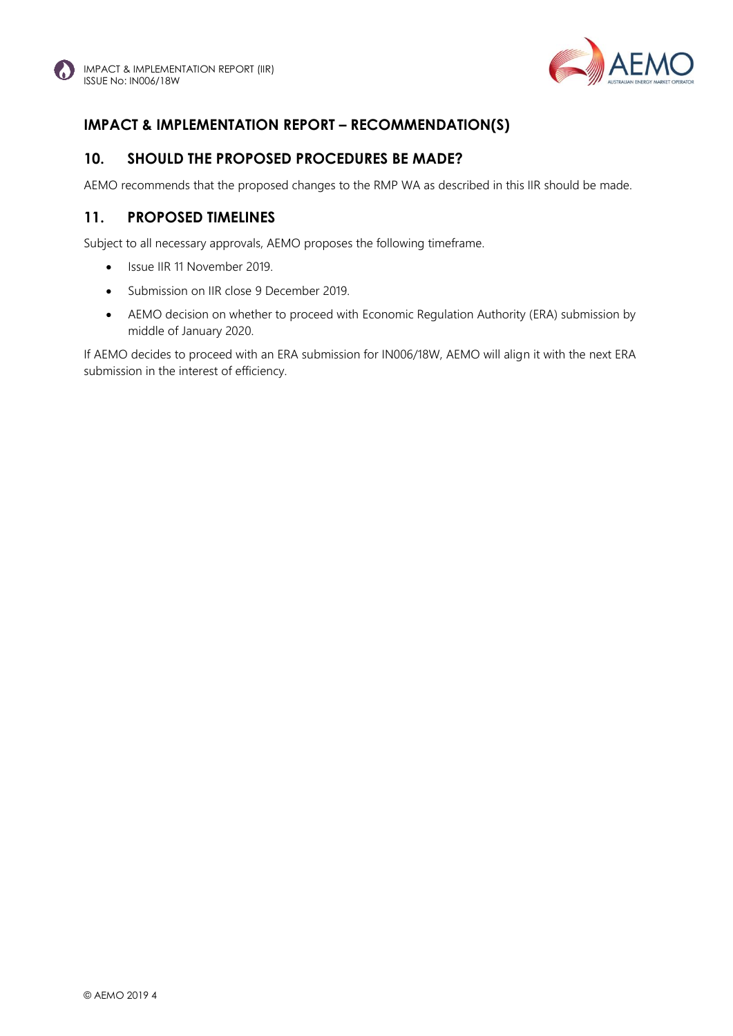

# **IMPACT & IMPLEMENTATION REPORT – RECOMMENDATION(S)**

#### **10. SHOULD THE PROPOSED PROCEDURES BE MADE?**

AEMO recommends that the proposed changes to the RMP WA as described in this IIR should be made.

#### **11. PROPOSED TIMELINES**

Subject to all necessary approvals, AEMO proposes the following timeframe.

- Issue IIR 11 November 2019.
- Submission on IIR close 9 December 2019.
- AEMO decision on whether to proceed with Economic Regulation Authority (ERA) submission by middle of January 2020.

If AEMO decides to proceed with an ERA submission for IN006/18W, AEMO will align it with the next ERA submission in the interest of efficiency.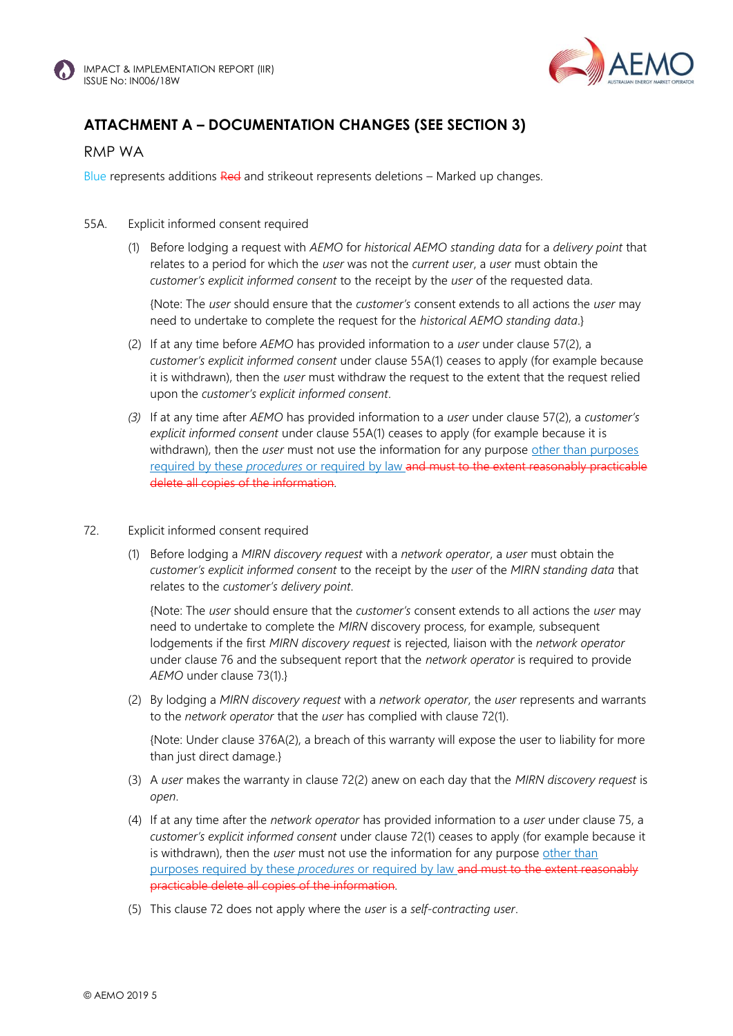



# **ATTACHMENT A – DOCUMENTATION CHANGES (SEE SECTION 3)**

#### RMP WA

Blue represents additions Red and strikeout represents deletions – Marked up changes.

#### 55A. Explicit informed consent required

(1) Before lodging a request with *AEMO* for *historical AEMO standing data* for a *delivery point* that relates to a period for which the *user* was not the *current user*, a *user* must obtain the *customer's explicit informed consent* to the receipt by the *user* of the requested data.

{Note: The *user* should ensure that the *customer's* consent extends to all actions the *user* may need to undertake to complete the request for the *historical AEMO standing data*.}

- (2) If at any time before *AEMO* has provided information to a *user* under clause 57(2), a *customer's explicit informed consent* under clause 55A(1) ceases to apply (for example because it is withdrawn), then the *user* must withdraw the request to the extent that the request relied upon the *customer's explicit informed consent*.
- *(3)* If at any time after *AEMO* has provided information to a *user* under clause 57(2), a *customer's explicit informed consent* under clause 55A(1) ceases to apply (for example because it is withdrawn), then the *user* must not use the information for any purpose other than purposes required by these *procedures* or required by law and must to the extent reasonably practicable delete all copies of the information*.*

#### 72. Explicit informed consent required

(1) Before lodging a *MIRN discovery request* with a *network operator*, a *user* must obtain the *customer's explicit informed consent* to the receipt by the *user* of the *MIRN standing data* that relates to the *customer's delivery point*.

{Note: The *user* should ensure that the *customer's* consent extends to all actions the *user* may need to undertake to complete the *MIRN* discovery process, for example, subsequent lodgements if the first *MIRN discovery request* is rejected, liaison with the *network operator*  under clause 76 and the subsequent report that the *network operator* is required to provide *AEMO* under clause 73(1).}

(2) By lodging a *MIRN discovery request* with a *network operator*, the *user* represents and warrants to the *network operator* that the *user* has complied with clause 72(1).

{Note: Under clause 376A(2), a breach of this warranty will expose the user to liability for more than just direct damage.}

- (3) A *user* makes the warranty in clause 72(2) anew on each day that the *MIRN discovery request* is *open*.
- (4) If at any time after the *network operator* has provided information to a *user* under clause 75, a *customer's explicit informed consent* under clause 72(1) ceases to apply (for example because it is withdrawn), then the *user* must not use the information for any purpose other than purposes required by these *procedures* or required by law and must to the extent reasonably practicable delete all copies of the information*.*
- (5) This clause 72 does not apply where the *user* is a *self-contracting user*.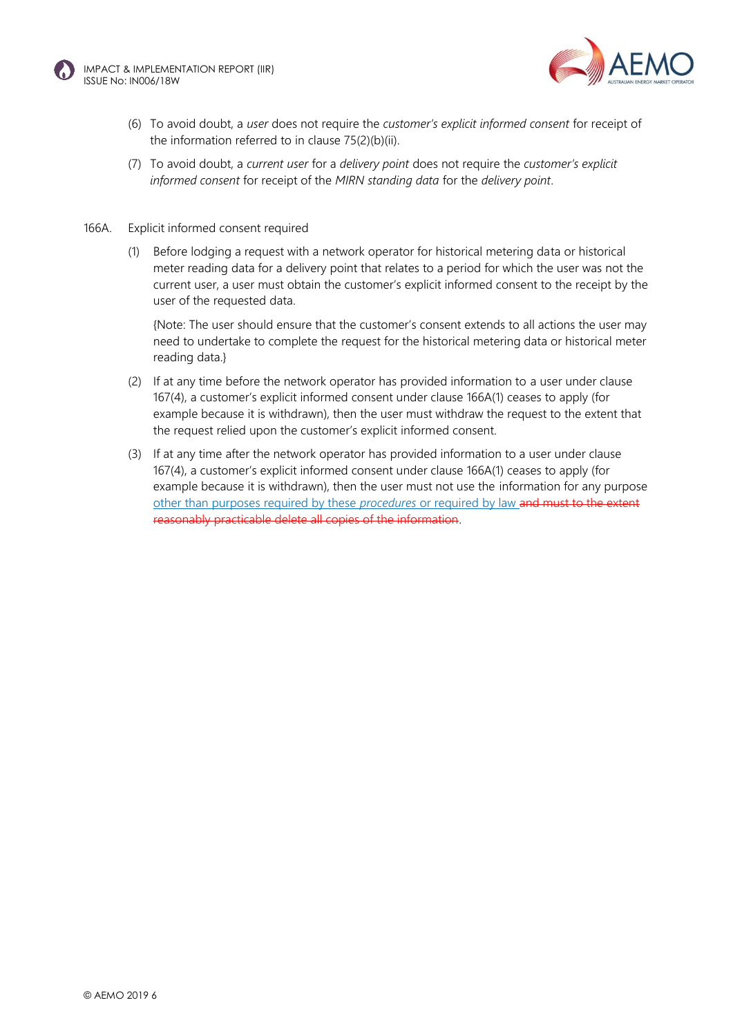



- (6) To avoid doubt, a *user* does not require the *customer's explicit informed consent* for receipt of the information referred to in clause 75(2)(b)(ii).
- (7) To avoid doubt, a *current user* for a *delivery point* does not require the *customer's explicit informed consent* for receipt of the *MIRN standing data* for the *delivery point*.

#### 166A. Explicit informed consent required

(1) Before lodging a request with a network operator for historical metering data or historical meter reading data for a delivery point that relates to a period for which the user was not the current user, a user must obtain the customer's explicit informed consent to the receipt by the user of the requested data.

{Note: The user should ensure that the customer's consent extends to all actions the user may need to undertake to complete the request for the historical metering data or historical meter reading data.}

- (2) If at any time before the network operator has provided information to a user under clause 167(4), a customer's explicit informed consent under clause 166A(1) ceases to apply (for example because it is withdrawn), then the user must withdraw the request to the extent that the request relied upon the customer's explicit informed consent.
- (3) If at any time after the network operator has provided information to a user under clause 167(4), a customer's explicit informed consent under clause 166A(1) ceases to apply (for example because it is withdrawn), then the user must not use the information for any purpose other than purposes required by these *procedures* or required by law and must to the extent reasonably practicable delete all copies of the information.